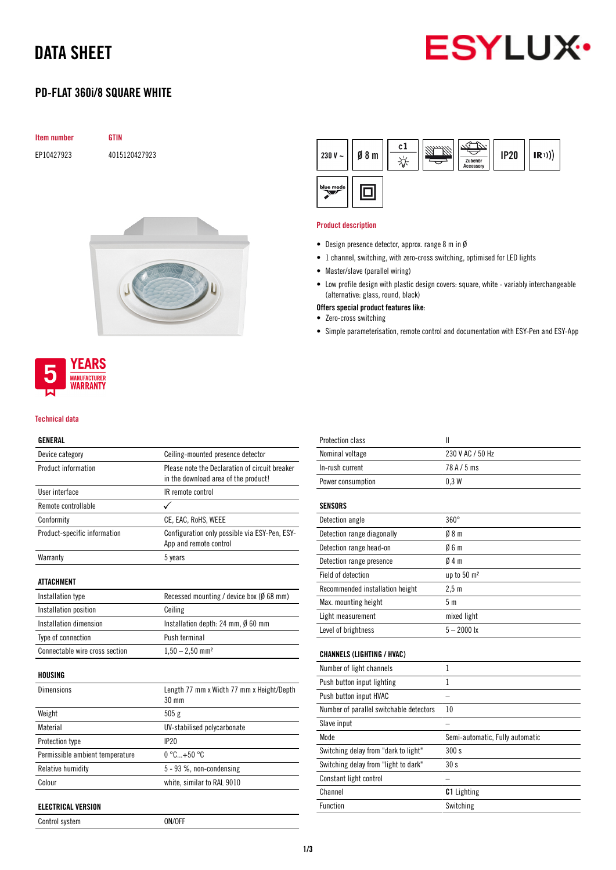# DATA SHEET



## PD-FLAT 360i/8 SQUARE WHITE

| <b>Item number</b> | GTIN          |
|--------------------|---------------|
| EP10427923         | 4015120427923 |



### **YEARS MANUFACTURER WARRANTY**

#### Technical data

### GENERAL

| Device category                 | Ceiling-mounted presence detector                                       |
|---------------------------------|-------------------------------------------------------------------------|
| Product information             | Please note the Declaration of circuit breaker                          |
|                                 | in the download area of the product!                                    |
| User interface                  | IR remote control                                                       |
| Remote controllable             |                                                                         |
| Conformity                      | CE, EAC, RoHS, WEEE                                                     |
| Product-specific information    | Configuration only possible via ESY-Pen, ESY-<br>App and remote control |
| Warranty                        | 5 years                                                                 |
| <b>ATTACHMENT</b>               |                                                                         |
| Installation type               | Recessed mounting / device box (Ø 68 mm)                                |
| Installation position           | Ceiling                                                                 |
| Installation dimension          | Installation depth: 24 mm, $\emptyset$ 60 mm                            |
| Type of connection              | Push terminal                                                           |
| Connectable wire cross section  | $1,50 - 2,50$ mm <sup>2</sup>                                           |
| HOUSING                         |                                                                         |
| <b>Dimensions</b>               | Length 77 mm x Width 77 mm x Height/Depth<br>$30 \text{ mm}$            |
| Weight                          | 505g                                                                    |
| Material                        | UV-stabilised polycarbonate                                             |
| Protection type                 | IP20                                                                    |
| Permissible ambient temperature | $0^{\circ}$ C +50 $^{\circ}$ C                                          |
| Relative humidity               | 5 - 93 %, non-condensing                                                |
| Colour                          | white, similar to RAL 9010                                              |
| <b>ELECTRICAL VERSION</b>       |                                                                         |
| Control system                  | ON/OFF                                                                  |

| 230 V $\sim$ | $\emptyset$ 8 m | c1 | Zubehör<br>Accessory | <b>IP20</b> | (R)) |
|--------------|-----------------|----|----------------------|-------------|------|
| blue mode    |                 |    |                      |             |      |

#### Product description

- Design presence detector, approx. range 8 m in Ø
- 1 channel, switching, with zero-cross switching, optimised for LED lights
- Master/slave (parallel wiring)
- Low profile design with plastic design covers: square, white variably interchangeable (alternative: glass, round, black)
- Offers special product features like:
- Zero-cross switching
- Simple parameterisation, remote control and documentation with ESY-Pen and ESY-App

| <b>Protection class</b>                 | $\mathbf{I}$                    |
|-----------------------------------------|---------------------------------|
| Nominal voltage                         | 230 V AC / 50 Hz                |
| In-rush current                         | 78 A / 5 ms                     |
| Power consumption                       | 0.3W                            |
| <b>SENSORS</b>                          |                                 |
| Detection angle                         | $360^\circ$                     |
| Detection range diagonally              | 08 <sub>m</sub>                 |
| Detection range head-on                 | 06m                             |
| Detection range presence                | 04m                             |
| <b>Field of detection</b>               | up to 50 m <sup>2</sup>         |
| Recommended installation height         | 2.5 <sub>m</sub>                |
| Max. mounting height                    | 5 <sub>m</sub>                  |
| Light measurement                       | mixed light                     |
| Level of brightness                     | $5 - 2000$ lx                   |
| <b>CHANNELS (LIGHTING / HVAC)</b>       |                                 |
| Number of light channels                | $\mathbf{1}$                    |
| Push button input lighting              | 1                               |
| Push button input HVAC                  |                                 |
| Number of parallel switchable detectors | 10                              |
| Slave input                             |                                 |
| Mode                                    | Semi-automatic, Fully automatic |
| Switching delay from "dark to light"    | 300 s                           |
| Switching delay from "light to dark"    | 30s                             |
| Constant light control                  |                                 |
| Channel                                 | <b>C1</b> Lighting              |
| Function                                | Switching                       |
|                                         |                                 |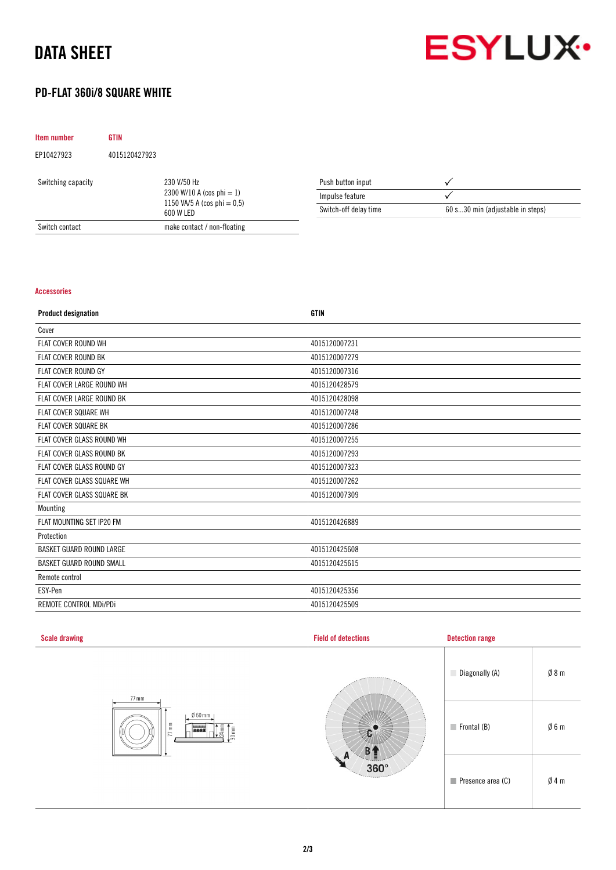# DATA SHEET



## PD-FLAT 360i/8 SQUARE WHITE

| Item number        | <b>GTIN</b>   |                                                                                            |                       |                                  |
|--------------------|---------------|--------------------------------------------------------------------------------------------|-----------------------|----------------------------------|
| EP10427923         | 4015120427923 |                                                                                            |                       |                                  |
| Switching capacity |               | 230 V/50 Hz<br>2300 W/10 A (cos phi $= 1$ )<br>1150 VA/5 A (cos phi = $0,5$ )<br>600 W LED | Push button input     |                                  |
|                    |               |                                                                                            | Impulse feature       |                                  |
|                    |               |                                                                                            | Switch-off delay time | 60 s30 min (adjustable in steps) |
| Switch contact     |               | make contact / non-floating                                                                |                       |                                  |

#### Accessories

| <b>Product designation</b>      | <b>GTIN</b>   |
|---------------------------------|---------------|
| Cover                           |               |
| FLAT COVER ROUND WH             | 4015120007231 |
| <b>FLAT COVER ROUND BK</b>      | 4015120007279 |
| <b>FLAT COVER ROUND GY</b>      | 4015120007316 |
| FLAT COVER LARGE ROUND WH       | 4015120428579 |
| FLAT COVER LARGE ROUND BK       | 4015120428098 |
| <b>FLAT COVER SQUARE WH</b>     | 4015120007248 |
| FLAT COVER SQUARE BK            | 4015120007286 |
| FLAT COVER GLASS ROUND WH       | 4015120007255 |
| FLAT COVER GLASS ROUND BK       | 4015120007293 |
| FLAT COVER GLASS ROUND GY       | 4015120007323 |
| FLAT COVER GLASS SQUARE WH      | 4015120007262 |
| FLAT COVER GLASS SQUARE BK      | 4015120007309 |
| Mounting                        |               |
| FLAT MOUNTING SET IP20 FM       | 4015120426889 |
| Protection                      |               |
| <b>BASKET GUARD ROUND LARGE</b> | 4015120425608 |
| <b>BASKET GUARD ROUND SMALL</b> | 4015120425615 |
| Remote control                  |               |
| ESY-Pen                         | 4015120425356 |
| REMOTE CONTROL MDi/PDi          | 4015120425509 |